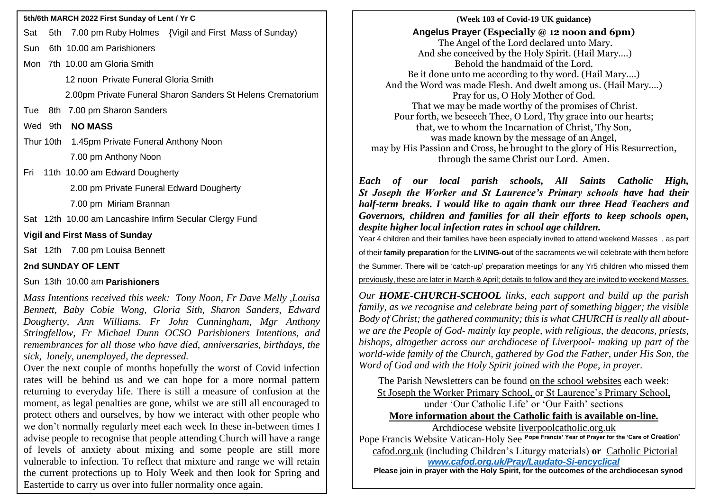- Sat 5th 7.00 pm Ruby Holmes {Vigil and First Mass of Sunday)
- Sun 6th 10.00 am Parishioners
- Mon 7th 10.00 am Gloria Smith
	- 12 noon Private Funeral Gloria Smith
	- 2.00pm Private Funeral Sharon Sanders St Helens Crematorium
- Tue 8th 7.00 pm Sharon Sanders
- Wed 9th **NO MASS**
- Thur 10th 1.45pm Private Funeral Anthony Noon
	- 7.00 pm Anthony Noon
- Fri 11th 10.00 am Edward Dougherty
	- 2.00 pm Private Funeral Edward Dougherty
	- 7.00 pm Miriam Brannan
- Sat 12th 10.00 am Lancashire Infirm Secular Clergy Fund

## **Vigil and First Mass of Sunday**

Sat 12th 7.00 pm Louisa Bennett

# **2nd SUNDAY OF LENT**

# Sun 13th 10.00 am **Parishioners**

*Mass Intentions received this week: Tony Noon, Fr Dave Melly ,Louisa Bennett, Baby Cobie Wong, Gloria Sith, Sharon Sanders, Edward Dougherty, Ann Williams. Fr John Cunningham, Mgr Anthony Stringfellow, Fr Michael Dunn OCSO Parishioners Intentions, and remembrances for all those who have died, anniversaries, birthdays, the sick, lonely, unemployed, the depressed.*

Over the next couple of months hopefully the worst of Covid infection rates will be behind us and we can hope for a more normal pattern returning to everyday life. There is still a measure of confusion at the moment, as legal penalties are gone, whilst we are still all encouraged to protect others and ourselves, by how we interact with other people who we don't normally regularly meet each week In these in-between times I advise people to recognise that people attending Church will have a range of levels of anxiety about mixing and some people are still more vulnerable to infection. To reflect that mixture and range we will retain the current protections up to Holy Week and then look for Spring and Eastertide to carry us over into fuller normality once again.

*p* **(Week 103 of Covid-19 UK guidance)** **5th/6th MARCH 2022 First Sunday of Lent / Yr C Angelus Prayer (Especially @ 12 noon and 6pm)** The Angel of the Lord declared unto Mary. And she conceived by the Holy Spirit. (Hail Mary….) Behold the handmaid of the Lord. Be it done unto me according to thy word. (Hail Mary….) And the Word was made Flesh. And dwelt among us. (Hail Mary….) Pray for us, O Holy Mother of God. That we may be made worthy of the promises of Christ. Pour forth, we beseech Thee, O Lord, Thy grace into our hearts; that, we to whom the Incarnation of Christ, Thy Son, was made known by the message of an Angel, may by His Passion and Cross, be brought to the glory of His Resurrection, through the same Christ our Lord. Amen.

> *Each of our local parish schools, All Saints Catholic High, St Joseph the Worker and St Laurence's Primary schools have had their half-term breaks. I would like to again thank our three Head Teachers and Governors, children and families for all their efforts to keep schools open, despite higher local infection rates in school age children.*

> Year 4 children and their families have been especially invited to attend weekend Masses , as part

of their **family preparation** for the **LIVING-out** of the sacraments we will celebrate with them before

the Summer. There will be 'catch-up' preparation meetings for any Yr5 children who missed them

previously, these are later in March & April; details to follow and they are invited to weekend Masses.

*Our HOME-CHURCH-SCHOOL links, each support and build up the parish family, as we recognise and celebrate being part of something bigger; the visible Body of Christ; the gathered community; this is what CHURCH is really all aboutwe are the People of God- mainly lay people, with religious, the deacons, priests, bishops, altogether across our archdiocese of Liverpool- making up part of the world-wide family of the Church, gathered by God the Father, under His Son, the Word of God and with the Holy Spirit joined with the Pope, in prayer.*

The Parish Newsletters can be found on the school websites each week: St Joseph the Worker Primary School, or St Laurence's Primary School, under 'Our Catholic Life' or 'Our Faith' sections **More information about the Catholic faith is available on-line.**

Archdiocese website [liverpoolcatholic.org.uk](http://liverpoolcatholic.org.uk/)

Pope Francis Website Vatican-Holy See **Pope Francis' Year of Prayer for the 'Care of Creation'** cafod.org.uk (including Children's Liturgy materials) **or** Catholic Pictorial *[www.cafod.org.uk/Pray/Laudato-Si-encyclical](http://www.cafod.org.uk/Pray/Laudato-Si-encyclical)*

 **Please join in prayer with the Holy Spirit, for the outcomes of the archdiocesan synod**